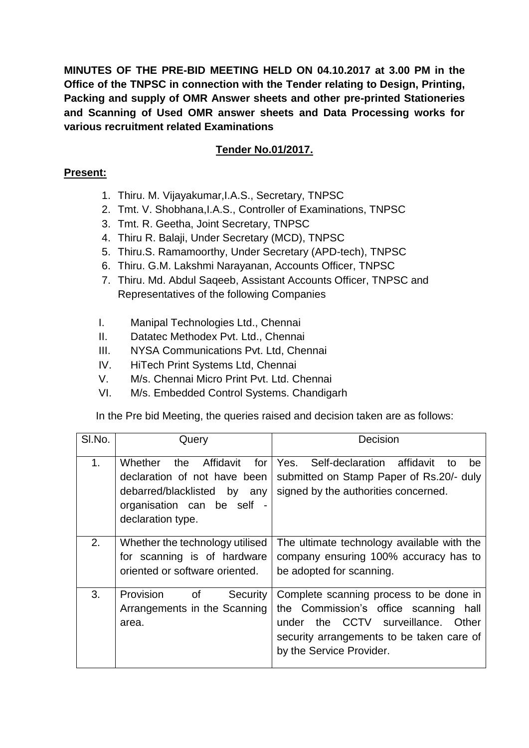**MINUTES OF THE PRE-BID MEETING HELD ON 04.10.2017 at 3.00 PM in the Office of the TNPSC in connection with the Tender relating to Design, Printing, Packing and supply of OMR Answer sheets and other pre-printed Stationeries and Scanning of Used OMR answer sheets and Data Processing works for various recruitment related Examinations** 

## **Tender No.01/2017.**

## **Present:**

- 1. Thiru. M. Vijayakumar,I.A.S., Secretary, TNPSC
- 2. Tmt. V. Shobhana,I.A.S., Controller of Examinations, TNPSC
- 3. Tmt. R. Geetha, Joint Secretary, TNPSC
- 4. Thiru R. Balaji, Under Secretary (MCD), TNPSC
- 5. Thiru.S. Ramamoorthy, Under Secretary (APD-tech), TNPSC
- 6. Thiru. G.M. Lakshmi Narayanan, Accounts Officer, TNPSC
- 7. Thiru. Md. Abdul Saqeeb, Assistant Accounts Officer, TNPSC and Representatives of the following Companies
- I. Manipal Technologies Ltd., Chennai
- II. Datatec Methodex Pvt. Ltd., Chennai
- III. NYSA Communications Pvt. Ltd, Chennai
- IV. HiTech Print Systems Ltd, Chennai
- V. M/s. Chennai Micro Print Pvt. Ltd. Chennai
- VI. M/s. Embedded Control Systems. Chandigarh

In the Pre bid Meeting, the queries raised and decision taken are as follows:

| SI.No. | Query                                                                                                                                                   | Decision                                                                                                                                                                                                 |
|--------|---------------------------------------------------------------------------------------------------------------------------------------------------------|----------------------------------------------------------------------------------------------------------------------------------------------------------------------------------------------------------|
| 1.     | Whether<br>Affidavit<br>the<br>for<br>declaration of not have been<br>debarred/blacklisted by<br>any<br>organisation can be self -<br>declaration type. | Yes. Self-declaration<br>affidavit<br>to<br>be.<br>submitted on Stamp Paper of Rs.20/- duly<br>signed by the authorities concerned.                                                                      |
| 2.     | Whether the technology utilised<br>for scanning is of hardware<br>oriented or software oriented.                                                        | The ultimate technology available with the<br>company ensuring 100% accuracy has to<br>be adopted for scanning.                                                                                          |
| 3.     | Provision<br>0f<br>Security<br>Arrangements in the Scanning<br>area.                                                                                    | Complete scanning process to be done in<br>the Commission's office scanning<br>hall<br>CCTV surveillance. Other<br>the<br>under<br>security arrangements to be taken care of<br>by the Service Provider. |